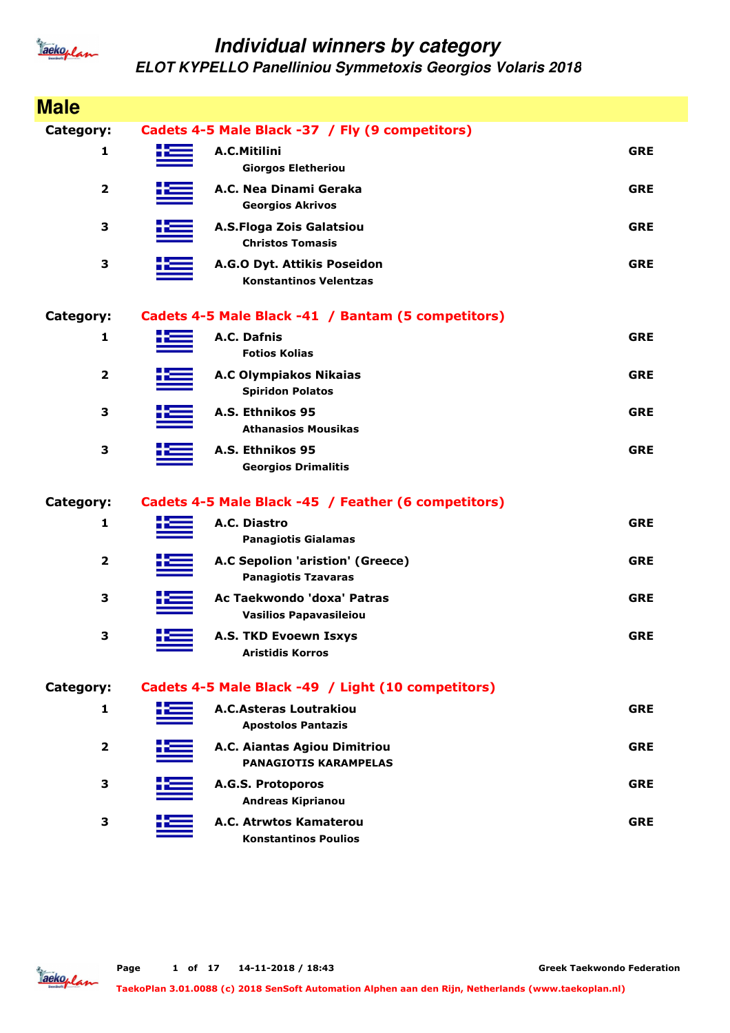

| <b>Male</b>             |                                                                |            |
|-------------------------|----------------------------------------------------------------|------------|
| Category:               | Cadets 4-5 Male Black -37 / Fly (9 competitors)                |            |
| 1                       | A.C.Mitilini<br><b>Giorgos Eletheriou</b>                      | <b>GRE</b> |
| $\overline{\mathbf{2}}$ | A.C. Nea Dinami Geraka<br><b>Georgios Akrivos</b>              | <b>GRE</b> |
| 3                       | A.S.Floga Zois Galatsiou<br><b>Christos Tomasis</b>            | <b>GRE</b> |
| 3                       | A.G.O Dyt. Attikis Poseidon<br><b>Konstantinos Velentzas</b>   | <b>GRE</b> |
| Category:               | Cadets 4-5 Male Black -41 / Bantam (5 competitors)             |            |
| 1                       | A.C. Dafnis<br><b>Fotios Kolias</b>                            | <b>GRE</b> |
| $\mathbf{2}$            | <b>A.C Olympiakos Nikaias</b><br><b>Spiridon Polatos</b>       | <b>GRE</b> |
| 3                       | A.S. Ethnikos 95<br><b>Athanasios Mousikas</b>                 | <b>GRE</b> |
| 3                       | A.S. Ethnikos 95<br><b>Georgios Drimalitis</b>                 | <b>GRE</b> |
| Category:               | Cadets 4-5 Male Black -45 / Feather (6 competitors)            |            |
| 1                       | A.C. Diastro<br><b>Panagiotis Gialamas</b>                     | <b>GRE</b> |
| $\overline{2}$          | A.C Sepolion 'aristion' (Greece)<br><b>Panagiotis Tzavaras</b> | <b>GRE</b> |
| 3                       | Ac Taekwondo 'doxa' Patras<br><b>Vasilios Papavasileiou</b>    | <b>GRE</b> |
| 3                       | <b>A.S. TKD Evoewn Tsxys</b><br><b>Aristidis Korros</b>        | <b>GRE</b> |
| Category:               | Cadets 4-5 Male Black -49 / Light (10 competitors)             |            |
| 1                       | <b>A.C.Asteras Loutrakiou</b><br><b>Apostolos Pantazis</b>     | <b>GRE</b> |
| $\overline{\mathbf{2}}$ | A.C. Aiantas Agiou Dimitriou<br><b>PANAGIOTIS KARAMPELAS</b>   | <b>GRE</b> |
| 3                       | A.G.S. Protoporos<br><b>Andreas Kiprianou</b>                  | <b>GRE</b> |
| 3                       | A.C. Atrwtos Kamaterou<br><b>Konstantinos Poulios</b>          | <b>GRE</b> |

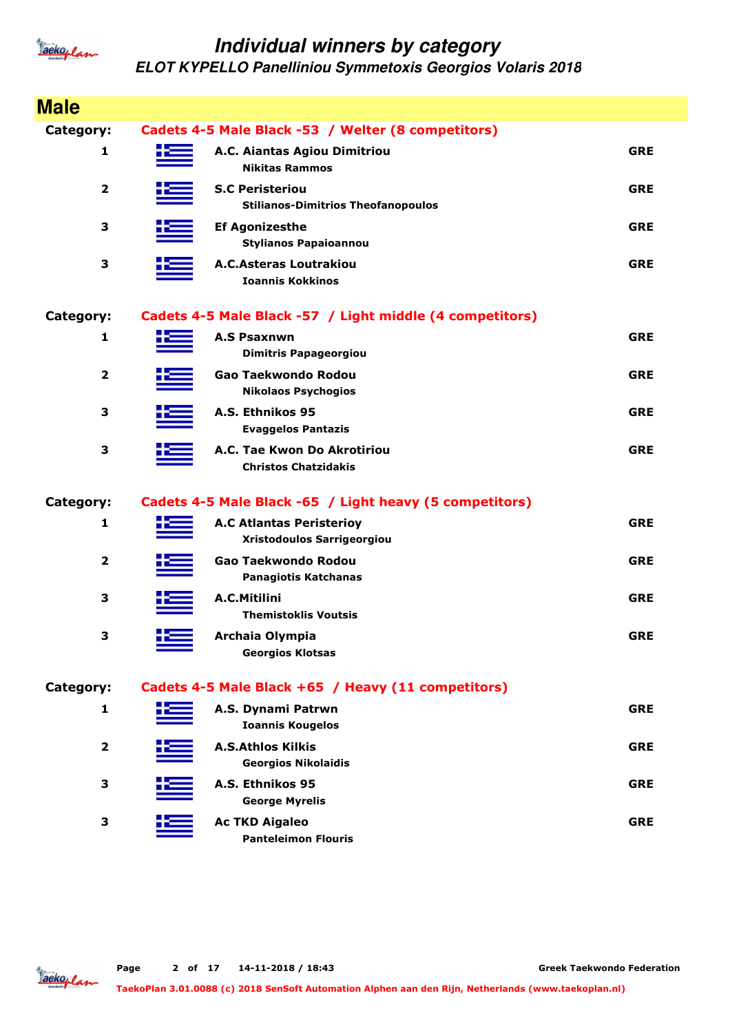

| <b>Male</b>             |       |                                                                     |            |
|-------------------------|-------|---------------------------------------------------------------------|------------|
| <b>Category:</b>        |       | Cadets 4-5 Male Black -53 / Welter (8 competitors)                  |            |
| 1                       | 52    | A.C. Aiantas Agiou Dimitriou<br><b>Nikitas Rammos</b>               | <b>GRE</b> |
| $\overline{\mathbf{2}}$ |       | <b>S.C Peristeriou</b><br><b>Stilianos-Dimitrios Theofanopoulos</b> | <b>GRE</b> |
| 3                       |       | <b>Ef Agonizesthe</b><br><b>Stylianos Papaioannou</b>               | <b>GRE</b> |
| 3                       |       | <b>A.C.Asteras Loutrakiou</b><br><b>Ioannis Kokkinos</b>            | <b>GRE</b> |
| <b>Category:</b>        |       | Cadets 4-5 Male Black -57 / Light middle (4 competitors)            |            |
| 1                       | ۲E    | <b>A.S Psaxnwn</b><br><b>Dimitris Papageorgiou</b>                  | <b>GRE</b> |
| $\mathbf{2}$            |       | Gao Taekwondo Rodou<br><b>Nikolaos Psychogios</b>                   | <b>GRE</b> |
| 3                       |       | A.S. Ethnikos 95<br><b>Evaggelos Pantazis</b>                       | <b>GRE</b> |
| 3                       |       | A.C. Tae Kwon Do Akrotiriou<br><b>Christos Chatzidakis</b>          | <b>GRE</b> |
| <b>Category:</b>        |       | Cadets 4-5 Male Black -65 / Light heavy (5 competitors)             |            |
| 1                       |       | <b>A.C Atlantas Peristerioy</b><br>Xristodoulos Sarrigeorgiou       | <b>GRE</b> |
| 2                       |       | Gao Taekwondo Rodou<br><b>Panagiotis Katchanas</b>                  | <b>GRE</b> |
| 3                       |       | A.C.Mitilini<br><b>Themistoklis Voutsis</b>                         | <b>GRE</b> |
| 3                       | صبا ا | Archaia Olympia<br><b>Georgios Klotsas</b>                          | <b>GRE</b> |
| <b>Category:</b>        |       | Cadets 4-5 Male Black +65 / Heavy (11 competitors)                  |            |
| 1                       |       | A.S. Dynami Patrwn<br><b>Ioannis Kougelos</b>                       | <b>GRE</b> |
| $\mathbf{2}$            |       | <b>A.S.Athlos Kilkis</b><br><b>Georgios Nikolaidis</b>              | <b>GRE</b> |
| 3                       |       | A.S. Ethnikos 95<br><b>George Myrelis</b>                           | <b>GRE</b> |
| 3                       |       | <b>Ac TKD Aigaleo</b><br><b>Panteleimon Flouris</b>                 | <b>GRE</b> |

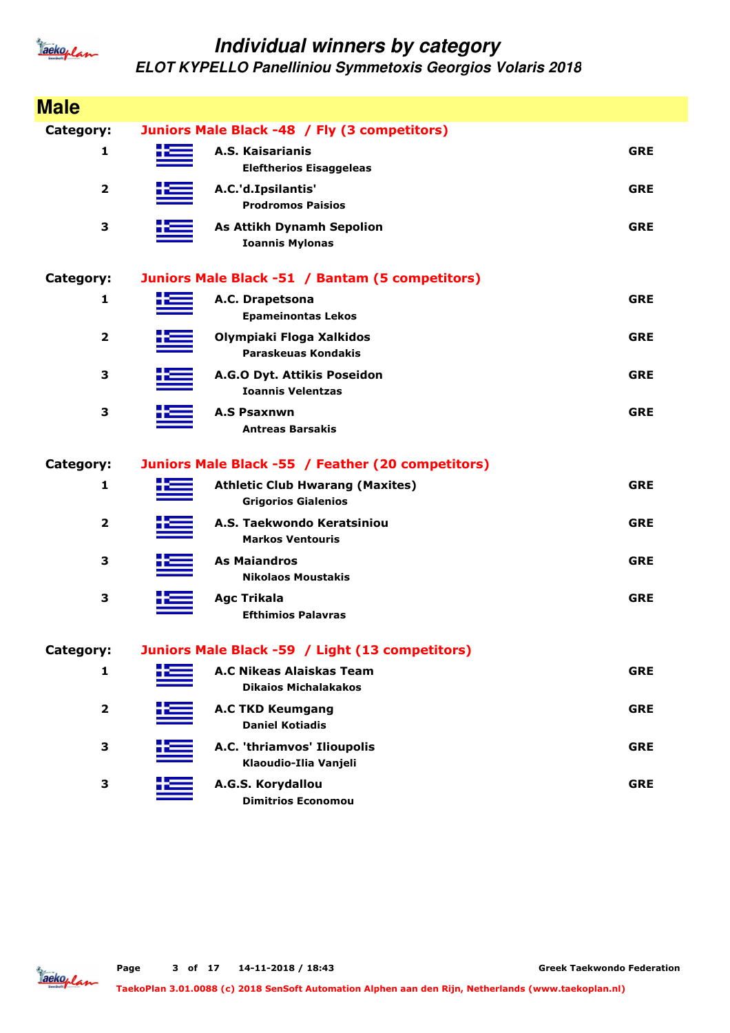

| <b>Male</b>             |                                                                      |            |
|-------------------------|----------------------------------------------------------------------|------------|
| Category:               | Juniors Male Black -48 / Fly (3 competitors)                         |            |
| 1                       | A.S. Kaisarianis<br><b>Eleftherios Eisaggeleas</b>                   | <b>GRE</b> |
| $\overline{\mathbf{2}}$ | A.C.'d.Ipsilantis'<br><b>Prodromos Paisios</b>                       | <b>GRE</b> |
| 3                       | <b>As Attikh Dynamh Sepolion</b><br><b>Ioannis Mylonas</b>           | <b>GRE</b> |
| Category:               | Juniors Male Black -51 / Bantam (5 competitors)                      |            |
| $\mathbf{1}$            | A.C. Drapetsona<br><b>Epameinontas Lekos</b>                         | <b>GRE</b> |
| $\overline{\mathbf{2}}$ | Olympiaki Floga Xalkidos<br>Paraskeuas Kondakis                      | <b>GRE</b> |
| 3                       | A.G.O Dyt. Attikis Poseidon<br><b>Ioannis Velentzas</b>              | <b>GRE</b> |
| 3                       | <b>A.S Psaxnwn</b><br><b>Antreas Barsakis</b>                        | <b>GRE</b> |
| Category:               | Juniors Male Black -55 / Feather (20 competitors)                    |            |
| $\mathbf{1}$            | <b>Athletic Club Hwarang (Maxites)</b><br><b>Grigorios Gialenios</b> | <b>GRE</b> |
| $\overline{2}$          | A.S. Taekwondo Keratsiniou<br><b>Markos Ventouris</b>                | <b>GRE</b> |
| 3                       | <b>As Maiandros</b><br><b>Nikolaos Moustakis</b>                     | <b>GRE</b> |
| 3                       | <b>Agc Trikala</b><br><b>Efthimios Palavras</b>                      | <b>GRE</b> |
|                         |                                                                      |            |
| <b>Category:</b>        | Juniors Male Black -59 / Light (13 competitors)                      |            |
| 1                       | <b>A.C Nikeas Alaiskas Team</b><br><b>Dikaios Michalakakos</b>       | <b>GRE</b> |
| $\mathbf{2}$            | <b>A.C TKD Keumgang</b><br><b>Daniel Kotiadis</b>                    | <b>GRE</b> |
| 3                       | A.C. 'thriamvos' Ilioupolis<br>Klaoudio-Ilia Vanjeli                 | <b>GRE</b> |

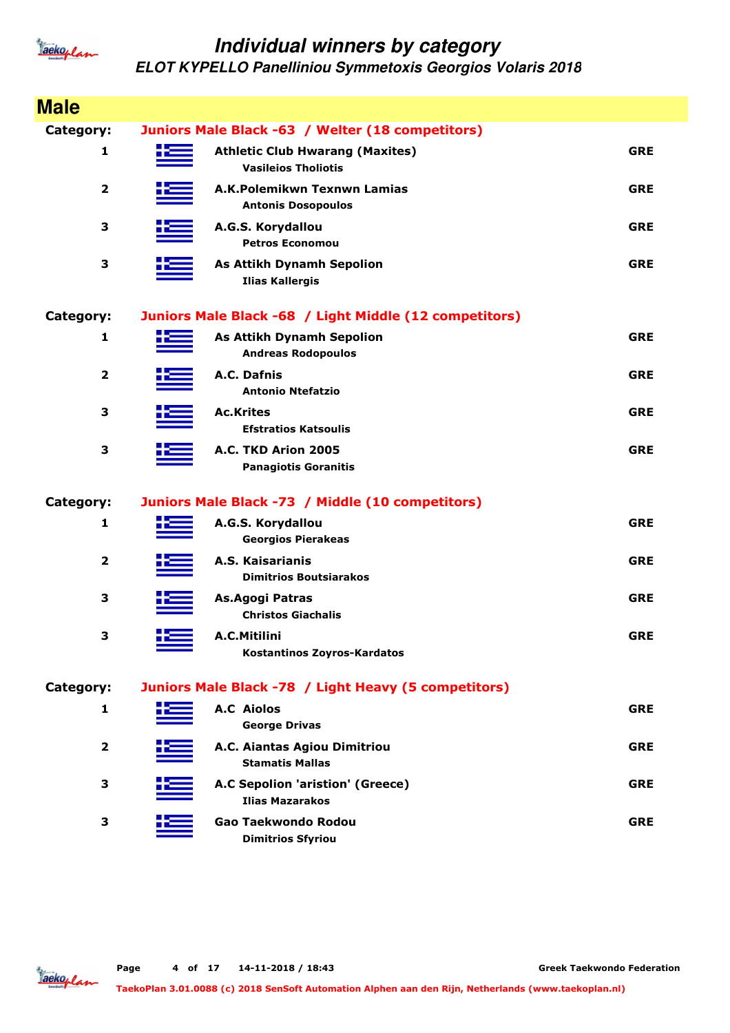

| <b>Male</b>             |                                                                      |            |
|-------------------------|----------------------------------------------------------------------|------------|
| Category:               | Juniors Male Black -63 / Welter (18 competitors)                     |            |
| 1                       | <b>Athletic Club Hwarang (Maxites)</b><br><b>Vasileios Tholiotis</b> | <b>GRE</b> |
| $\overline{\mathbf{2}}$ | A.K.Polemikwn Texnwn Lamias<br><b>Antonis Dosopoulos</b>             | <b>GRE</b> |
| 3                       | A.G.S. Korydallou<br><b>Petros Economou</b>                          | <b>GRE</b> |
| 3                       | <b>As Attikh Dynamh Sepolion</b><br><b>Ilias Kallergis</b>           | <b>GRE</b> |
| <b>Category:</b>        | Juniors Male Black -68 / Light Middle (12 competitors)               |            |
| 1                       | <b>As Attikh Dynamh Sepolion</b><br><b>Andreas Rodopoulos</b>        | <b>GRE</b> |
| $\overline{\mathbf{2}}$ | A.C. Dafnis<br><b>Antonio Ntefatzio</b>                              | <b>GRE</b> |
| 3                       | <b>Ac.Krites</b><br><b>Efstratios Katsoulis</b>                      | <b>GRE</b> |
| 3                       | A.C. TKD Arion 2005<br><b>Panagiotis Goranitis</b>                   | <b>GRE</b> |
| Category:               | Juniors Male Black -73 / Middle (10 competitors)                     |            |
| 1                       | A.G.S. Korydallou<br><b>Georgios Pierakeas</b>                       | <b>GRE</b> |
| $\overline{\mathbf{2}}$ | A.S. Kaisarianis<br><b>Dimitrios Boutsiarakos</b>                    | <b>GRE</b> |
| 3                       | As.Agogi Patras<br><b>Christos Giachalis</b>                         | <b>GRE</b> |
| 3                       | A.C.Mitilini<br><b>Kostantinos Zoyros-Kardatos</b>                   | <b>GRE</b> |
| Category:               | Juniors Male Black -78 / Light Heavy (5 competitors)                 |            |
| 1                       | <b>A.C Aiolos</b><br><b>George Drivas</b>                            | <b>GRE</b> |
| $\overline{2}$          | A.C. Aiantas Agiou Dimitriou<br><b>Stamatis Mallas</b>               | <b>GRE</b> |
| 3                       | A.C Sepolion 'aristion' (Greece)<br><b>Ilias Mazarakos</b>           | <b>GRE</b> |
| 3                       | Gao Taekwondo Rodou<br><b>Dimitrios Sfyriou</b>                      | <b>GRE</b> |

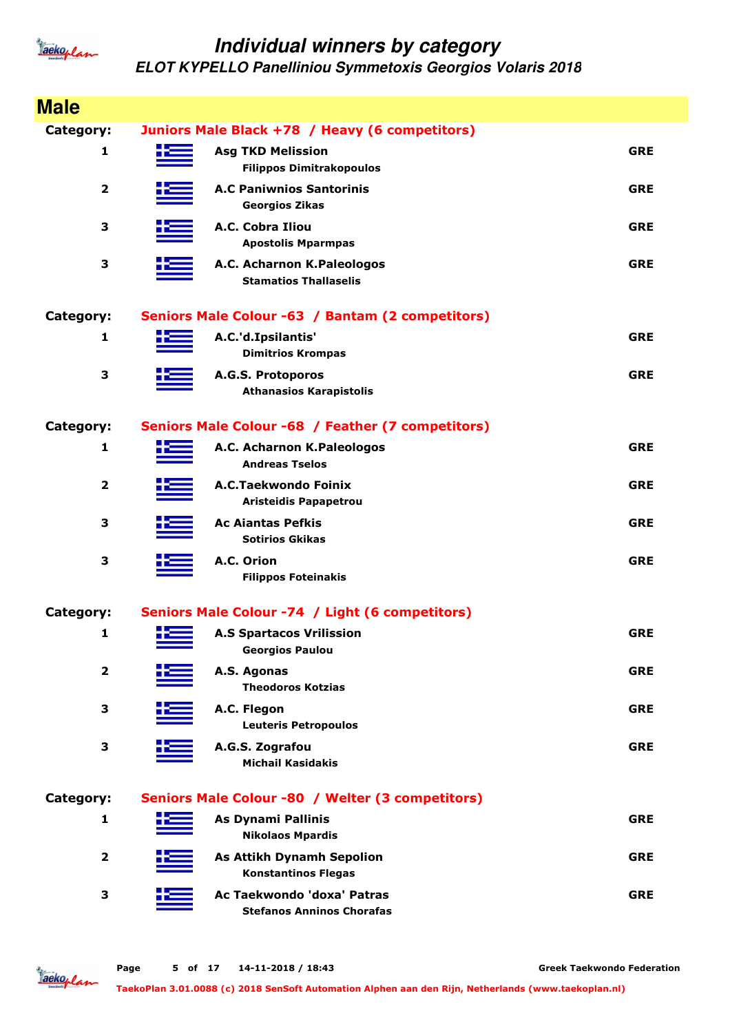

| <b>Male</b>             |     |                                                                |            |
|-------------------------|-----|----------------------------------------------------------------|------------|
| <b>Category:</b>        |     | Juniors Male Black +78 / Heavy (6 competitors)                 |            |
| 1                       | ÷   | <b>Asg TKD Melission</b><br><b>Filippos Dimitrakopoulos</b>    | <b>GRE</b> |
| $\overline{\mathbf{2}}$ |     | <b>A.C Paniwnios Santorinis</b><br><b>Georgios Zikas</b>       | <b>GRE</b> |
| 3                       |     | A.C. Cobra Iliou<br><b>Apostolis Mparmpas</b>                  | <b>GRE</b> |
| 3                       |     | A.C. Acharnon K.Paleologos<br><b>Stamatios Thallaselis</b>     | <b>GRE</b> |
| <b>Category:</b>        |     | Seniors Male Colour -63 / Bantam (2 competitors)               |            |
| 1                       |     | A.C.'d.Ipsilantis'<br><b>Dimitrios Krompas</b>                 | <b>GRE</b> |
| 3                       |     | A.G.S. Protoporos<br><b>Athanasios Karapistolis</b>            | <b>GRE</b> |
| <b>Category:</b>        |     | Seniors Male Colour -68 / Feather (7 competitors)              |            |
| 1                       |     | A.C. Acharnon K.Paleologos<br><b>Andreas Tselos</b>            | <b>GRE</b> |
| $\overline{\mathbf{2}}$ |     | A.C.Taekwondo Foinix<br><b>Aristeidis Papapetrou</b>           | <b>GRE</b> |
| 3                       |     | <b>Ac Aiantas Pefkis</b><br><b>Sotirios Gkikas</b>             | <b>GRE</b> |
| 3                       |     | A.C. Orion<br><b>Filippos Foteinakis</b>                       | <b>GRE</b> |
| Category:               |     | Seniors Male Colour -74 / Light (6 competitors)                |            |
| 1                       | صبب | <b>A.S Spartacos Vrilission</b><br><b>Georgios Paulou</b>      | <b>GRE</b> |
| $\overline{\mathbf{2}}$ |     | A.S. Agonas<br><b>Theodoros Kotzias</b>                        | <b>GRE</b> |
| 3                       |     | A.C. Flegon<br><b>Leuteris Petropoulos</b>                     | <b>GRE</b> |
| 3                       |     | A.G.S. Zografou<br><b>Michail Kasidakis</b>                    | <b>GRE</b> |
| Category:               |     | Seniors Male Colour -80 / Welter (3 competitors)               |            |
| 1                       |     | <b>As Dynami Pallinis</b><br><b>Nikolaos Mpardis</b>           | <b>GRE</b> |
| $\overline{2}$          |     | <b>As Attikh Dynamh Sepolion</b><br><b>Konstantinos Flegas</b> | <b>GRE</b> |
| 3                       |     | Ac Taekwondo 'doxa' Patras<br><b>Stefanos Anninos Chorafas</b> | <b>GRE</b> |

Jackoplan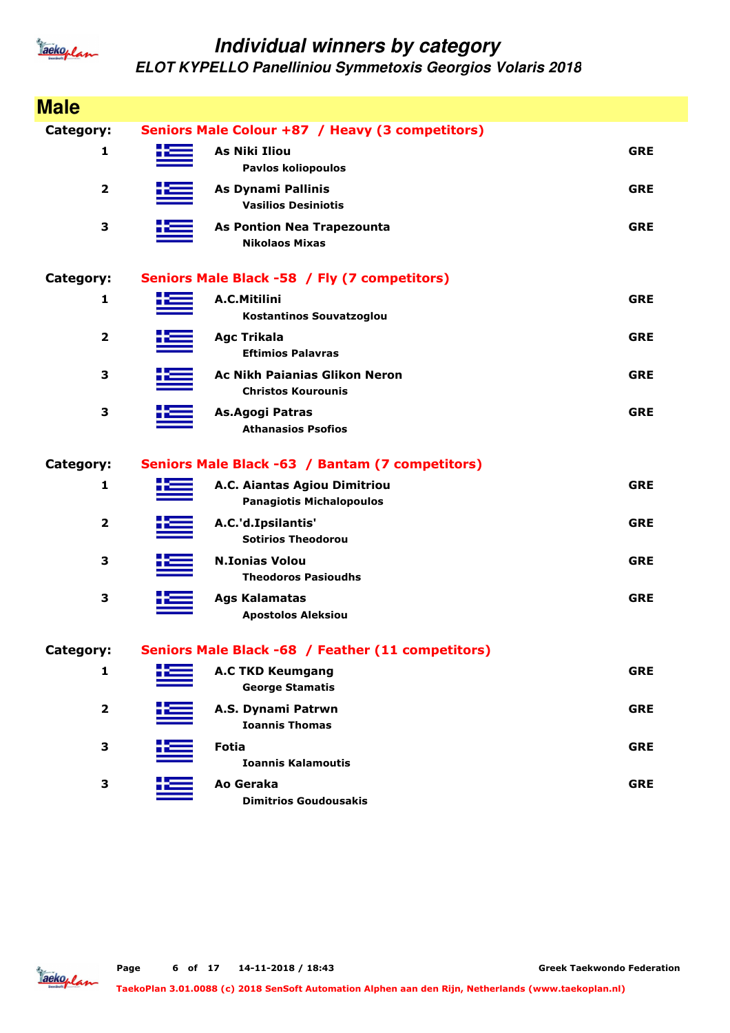

| <b>Male</b>             |                                                                   |            |
|-------------------------|-------------------------------------------------------------------|------------|
| Category:               | Seniors Male Colour +87 / Heavy (3 competitors)                   |            |
| 1                       | <b>As Niki Iliou</b><br><b>Pavlos koliopoulos</b>                 | <b>GRE</b> |
| $\overline{2}$          | As Dynami Pallinis<br><b>Vasilios Desiniotis</b>                  | <b>GRE</b> |
| 3                       | <b>As Pontion Nea Trapezounta</b><br><b>Nikolaos Mixas</b>        | <b>GRE</b> |
| Category:               | Seniors Male Black -58 / Fly (7 competitors)                      |            |
| 1                       | A.C.Mitilini<br>Kostantinos Souvatzoglou                          | <b>GRE</b> |
| $\mathbf{2}$            | <b>Agc Trikala</b><br><b>Eftimios Palavras</b>                    | <b>GRE</b> |
| 3                       | <b>Ac Nikh Paianias Glikon Neron</b><br><b>Christos Kourounis</b> | <b>GRE</b> |
| 3                       | As.Agogi Patras<br><b>Athanasios Psofios</b>                      | <b>GRE</b> |
| Category:               | Seniors Male Black -63 / Bantam (7 competitors)                   |            |
| 1                       | A.C. Aiantas Agiou Dimitriou<br><b>Panagiotis Michalopoulos</b>   | <b>GRE</b> |
| $\overline{\mathbf{2}}$ | A.C.'d.Ipsilantis'<br><b>Sotirios Theodorou</b>                   | <b>GRE</b> |
| 3                       | <b>N.Ionias Volou</b><br><b>Theodoros Pasioudhs</b>               | <b>GRE</b> |
| 3                       | <b>Ags Kalamatas</b><br><b>Apostolos Aleksiou</b>                 | <b>GRE</b> |
| Category:               | Seniors Male Black -68 / Feather (11 competitors)                 |            |
| 1                       | <b>A.C TKD Keumgang</b><br><b>George Stamatis</b>                 | <b>GRE</b> |
| $\overline{\mathbf{2}}$ | A.S. Dynami Patrwn<br><b>Ioannis Thomas</b>                       | <b>GRE</b> |
| 3                       | <b>Fotia</b><br><b>Ioannis Kalamoutis</b>                         | <b>GRE</b> |
| 3                       | Ao Geraka<br><b>Dimitrios Goudousakis</b>                         | <b>GRE</b> |

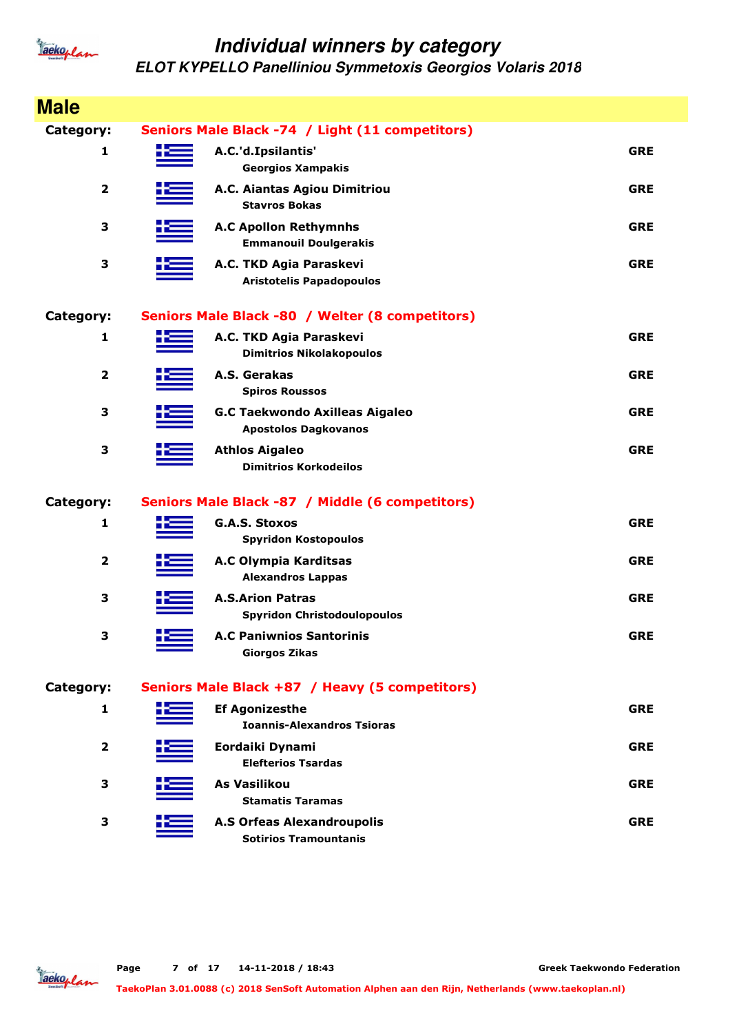

| <b>Male</b>             |                                                                      |            |
|-------------------------|----------------------------------------------------------------------|------------|
| Category:               | Seniors Male Black -74 / Light (11 competitors)                      |            |
| 1                       | A.C.'d.Ipsilantis'<br><b>Georgios Xampakis</b>                       | <b>GRE</b> |
| $\overline{\mathbf{2}}$ | A.C. Aiantas Agiou Dimitriou<br><b>Stavros Bokas</b>                 | <b>GRE</b> |
| 3                       | <b>A.C Apollon Rethymnhs</b><br><b>Emmanouil Doulgerakis</b>         | <b>GRE</b> |
| 3                       | A.C. TKD Agia Paraskevi<br><b>Aristotelis Papadopoulos</b>           | <b>GRE</b> |
| Category:               | Seniors Male Black -80 / Welter (8 competitors)                      |            |
| 1                       | A.C. TKD Agia Paraskevi<br><b>Dimitrios Nikolakopoulos</b>           | <b>GRE</b> |
| $\overline{\mathbf{2}}$ | A.S. Gerakas<br><b>Spiros Roussos</b>                                | <b>GRE</b> |
| 3                       | <b>G.C Taekwondo Axilleas Aigaleo</b><br><b>Apostolos Dagkovanos</b> | <b>GRE</b> |
| 3                       | <b>Athlos Aigaleo</b><br><b>Dimitrios Korkodeilos</b>                | <b>GRE</b> |
| Category:               | Seniors Male Black -87 / Middle (6 competitors)                      |            |
| 1                       | <b>G.A.S. Stoxos</b><br><b>Spyridon Kostopoulos</b>                  | <b>GRE</b> |
| $\overline{\mathbf{2}}$ | A.C Olympia Karditsas<br><b>Alexandros Lappas</b>                    | <b>GRE</b> |
| $\mathbf{3}$            | <b>A.S.Arion Patras</b><br><b>Spyridon Christodoulopoulos</b>        | <b>GRE</b> |
| 3                       | <b>A.C Paniwnios Santorinis</b><br><b>Giorgos Zikas</b>              | <b>GRE</b> |
| Category:               | Seniors Male Black +87 / Heavy (5 competitors)                       |            |
| 1                       | <b>Ef Agonizesthe</b><br><b>Ioannis-Alexandros Tsioras</b>           | <b>GRE</b> |
| $\overline{\mathbf{2}}$ | Eordaiki Dynami<br><b>Elefterios Tsardas</b>                         | <b>GRE</b> |
| 3                       | As Vasilikou<br><b>Stamatis Taramas</b>                              | <b>GRE</b> |
| 3                       | <b>A.S Orfeas Alexandroupolis</b><br><b>Sotirios Tramountanis</b>    | <b>GRE</b> |

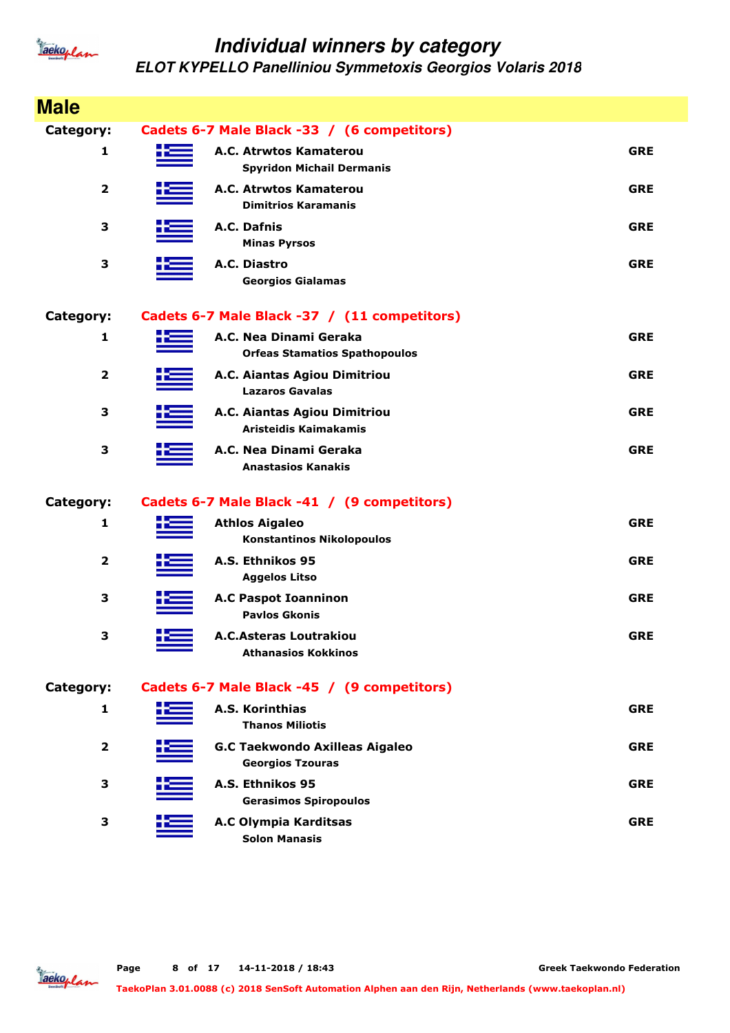

| <b>Male</b>             |                                                                  |            |
|-------------------------|------------------------------------------------------------------|------------|
| Category:               | Cadets 6-7 Male Black -33 / (6 competitors)                      |            |
| 1                       | A.C. Atrwtos Kamaterou<br><b>Spyridon Michail Dermanis</b>       | <b>GRE</b> |
| $\overline{\mathbf{2}}$ | A.C. Atrwtos Kamaterou<br><b>Dimitrios Karamanis</b>             | <b>GRE</b> |
| 3                       | A.C. Dafnis<br><b>Minas Pyrsos</b>                               | <b>GRE</b> |
| 3                       | A.C. Diastro<br><b>Georgios Gialamas</b>                         | <b>GRE</b> |
| Category:               | Cadets 6-7 Male Black -37 / (11 competitors)                     |            |
| 1                       | A.C. Nea Dinami Geraka<br><b>Orfeas Stamatios Spathopoulos</b>   | <b>GRE</b> |
| $\overline{\mathbf{2}}$ | A.C. Aiantas Agiou Dimitriou<br><b>Lazaros Gavalas</b>           | <b>GRE</b> |
| 3                       | A.C. Aiantas Agiou Dimitriou<br>Aristeidis Kaimakamis            | <b>GRE</b> |
| 3                       | A.C. Nea Dinami Geraka<br><b>Anastasios Kanakis</b>              | <b>GRE</b> |
| Category:               | Cadets 6-7 Male Black -41 / (9 competitors)                      |            |
| 1                       | <b>Athlos Aigaleo</b><br><b>Konstantinos Nikolopoulos</b>        | <b>GRE</b> |
| $\overline{\mathbf{2}}$ | A.S. Ethnikos 95<br><b>Aggelos Litso</b>                         | <b>GRE</b> |
| 3                       | <b>A.C Paspot Ioanninon</b><br><b>Pavlos Gkonis</b>              | <b>GRE</b> |
| 3                       | <b>A.C.Asteras Loutrakiou</b><br><b>Athanasios Kokkinos</b>      | <b>GRE</b> |
| Category:               | Cadets 6-7 Male Black -45 / (9 competitors)                      |            |
| 1                       | A.S. Korinthias<br><b>Thanos Miliotis</b>                        | <b>GRE</b> |
| $\overline{2}$          | <b>G.C Taekwondo Axilleas Aigaleo</b><br><b>Georgios Tzouras</b> | <b>GRE</b> |
| 3                       | A.S. Ethnikos 95<br><b>Gerasimos Spiropoulos</b>                 | <b>GRE</b> |
| 3                       | A.C Olympia Karditsas<br><b>Solon Manasis</b>                    | <b>GRE</b> |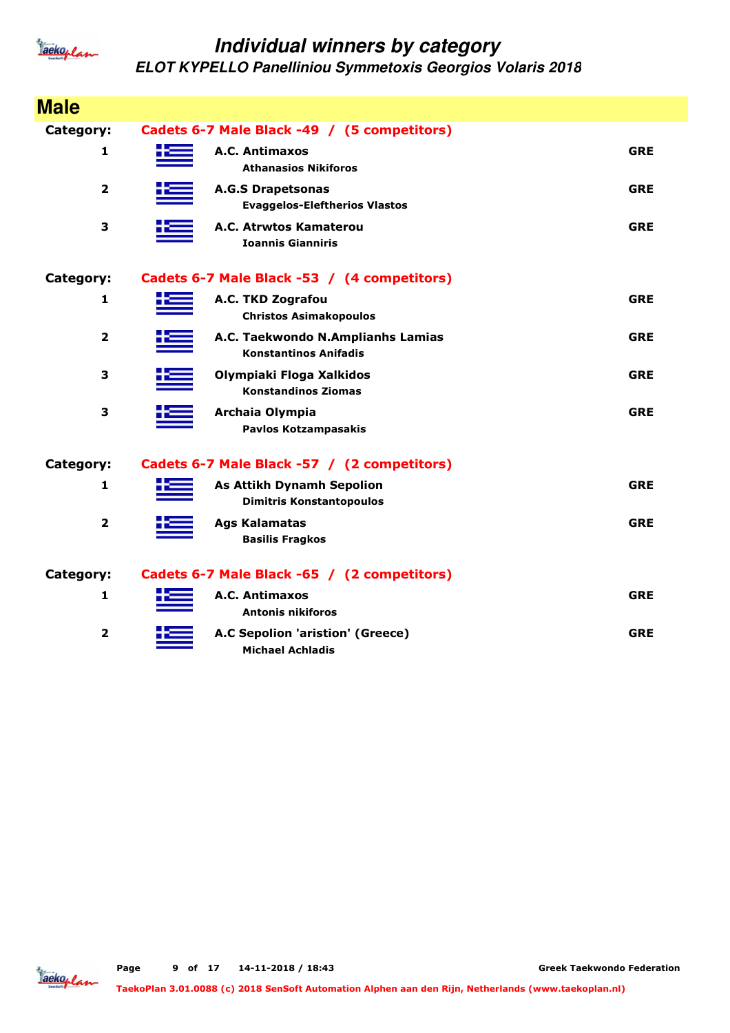

| <b>Male</b>             |                                                                     |            |
|-------------------------|---------------------------------------------------------------------|------------|
| <b>Category:</b>        | Cadets 6-7 Male Black -49 / (5 competitors)                         |            |
| 1                       | A.C. Antimaxos<br><b>Athanasios Nikiforos</b>                       | <b>GRE</b> |
| $\overline{\mathbf{2}}$ | <b>A.G.S Drapetsonas</b><br><b>Evaggelos-Eleftherios Vlastos</b>    | <b>GRE</b> |
| 3                       | A.C. Atrwtos Kamaterou<br><b>Ioannis Gianniris</b>                  | <b>GRE</b> |
| Category:               | Cadets 6-7 Male Black -53 / (4 competitors)                         |            |
| 1                       | A.C. TKD Zografou<br><b>Christos Asimakopoulos</b>                  | <b>GRE</b> |
| $\overline{\mathbf{2}}$ | A.C. Taekwondo N.Amplianhs Lamias<br><b>Konstantinos Anifadis</b>   | <b>GRE</b> |
| 3                       | Olympiaki Floga Xalkidos<br><b>Konstandinos Ziomas</b>              | <b>GRE</b> |
| 3                       | Archaia Olympia<br><b>Pavlos Kotzampasakis</b>                      | <b>GRE</b> |
| Category:               | Cadets 6-7 Male Black -57 / (2 competitors)                         |            |
| 1                       | <b>As Attikh Dynamh Sepolion</b><br><b>Dimitris Konstantopoulos</b> | <b>GRE</b> |
| $\overline{\mathbf{2}}$ | <b>Ags Kalamatas</b><br><b>Basilis Fragkos</b>                      | <b>GRE</b> |
| Category:               | Cadets 6-7 Male Black -65 / (2 competitors)                         |            |
| 1                       | A.C. Antimaxos<br><b>Antonis nikiforos</b>                          | <b>GRE</b> |
| $\overline{\mathbf{2}}$ | A.C Sepolion 'aristion' (Greece)<br><b>Michael Achladis</b>         | <b>GRE</b> |

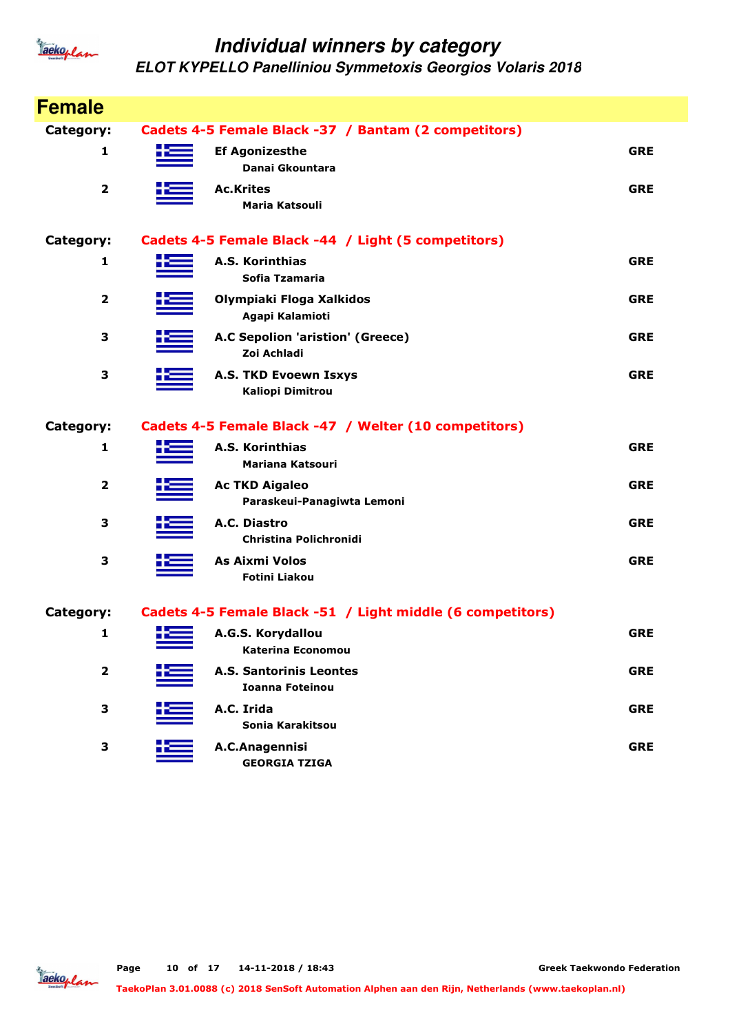

| <b>Female</b>           |    |                                                            |            |
|-------------------------|----|------------------------------------------------------------|------------|
| Category:               |    | Cadets 4-5 Female Black -37 / Bantam (2 competitors)       |            |
| 1                       |    | <b>Ef Agonizesthe</b><br>Danai Gkountara                   | <b>GRE</b> |
| $\mathbf{2}$            |    | <b>Ac.Krites</b><br>Maria Katsouli                         | <b>GRE</b> |
| <b>Category:</b>        |    | Cadets 4-5 Female Black -44 / Light (5 competitors)        |            |
| 1                       |    | A.S. Korinthias<br>Sofia Tzamaria                          | <b>GRE</b> |
| $\mathbf{2}$            |    | Olympiaki Floga Xalkidos<br>Agapi Kalamioti                | <b>GRE</b> |
| 3                       |    | A.C Sepolion 'aristion' (Greece)<br>Zoi Achladi            | <b>GRE</b> |
| 3                       |    | <b>A.S. TKD Evoewn Isxys</b><br><b>Kaliopi Dimitrou</b>    | <b>GRE</b> |
| Category:               |    | Cadets 4-5 Female Black -47 / Welter (10 competitors)      |            |
| 1                       |    | A.S. Korinthias<br><b>Mariana Katsouri</b>                 | <b>GRE</b> |
| $\overline{\mathbf{2}}$ |    | <b>Ac TKD Aigaleo</b><br>Paraskeui-Panagiwta Lemoni        | <b>GRE</b> |
| 3                       |    | A.C. Diastro<br><b>Christina Polichronidi</b>              | <b>GRE</b> |
| 3                       |    | As Aixmi Volos<br><b>Fotini Liakou</b>                     | <b>GRE</b> |
| Category:               |    | Cadets 4-5 Female Black -51 / Light middle (6 competitors) |            |
| 1                       | łæ | A.G.S. Korydallou<br><b>Katerina Economou</b>              | <b>GRE</b> |
| $\overline{2}$          |    | <b>A.S. Santorinis Leontes</b><br><b>Ioanna Foteinou</b>   | <b>GRE</b> |
| 3                       |    | A.C. Irida<br>Sonia Karakitsou                             | <b>GRE</b> |
| 3                       |    | A.C.Anagennisi<br><b>GEORGIA TZIGA</b>                     | <b>GRE</b> |

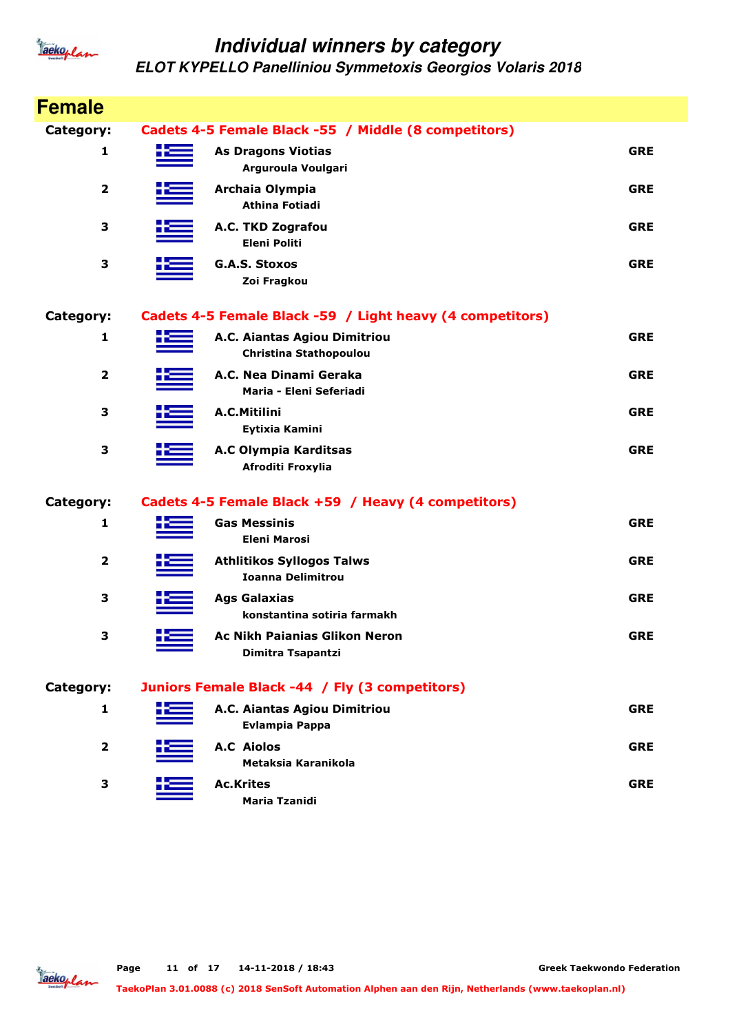

| <b>Female</b>           |                                                               |            |
|-------------------------|---------------------------------------------------------------|------------|
| <b>Category:</b>        | Cadets 4-5 Female Black -55 / Middle (8 competitors)          |            |
| 1                       | <b>As Dragons Viotias</b><br>Arguroula Voulgari               | <b>GRE</b> |
| $\overline{\mathbf{2}}$ | Archaia Olympia<br><b>Athina Fotiadi</b>                      | <b>GRE</b> |
| 3                       | A.C. TKD Zografou<br><b>Eleni Politi</b>                      | <b>GRE</b> |
| 3                       | <b>G.A.S. Stoxos</b><br>Zoi Fragkou                           | <b>GRE</b> |
| Category:               | Cadets 4-5 Female Black -59 / Light heavy (4 competitors)     |            |
| 1                       | A.C. Aiantas Agiou Dimitriou<br><b>Christina Stathopoulou</b> | <b>GRE</b> |
| $\overline{2}$          | A.C. Nea Dinami Geraka<br>Maria - Eleni Seferiadi             | <b>GRE</b> |
| 3                       | A.C.Mitilini<br>Eytixia Kamini                                | <b>GRE</b> |
| 3                       | A.C Olympia Karditsas<br>Afroditi Froxylia                    | <b>GRE</b> |
| <b>Category:</b>        | Cadets 4-5 Female Black +59 / Heavy (4 competitors)           |            |
| 1                       | <b>Gas Messinis</b><br><b>Eleni Marosi</b>                    | <b>GRE</b> |
| 2                       | <b>Athlitikos Syllogos Talws</b><br><b>Ioanna Delimitrou</b>  | <b>GRE</b> |
| 3                       | <b>Ags Galaxias</b><br>konstantina sotiria farmakh            | <b>GRE</b> |
| 3                       | <b>Ac Nikh Paianias Glikon Neron</b><br>Dimitra Tsapantzi     | <b>GRE</b> |
| Category:               | Juniors Female Black -44 / Fly (3 competitors)                |            |
| 1                       | A.C. Aiantas Agiou Dimitriou<br><b>Evlampia Pappa</b>         | <b>GRE</b> |
| $\mathbf{2}$            | <b>A.C Aiolos</b><br>Metaksia Karanikola                      | <b>GRE</b> |
| 3                       | <b>Ac.Krites</b><br><b>Maria Tzanidi</b>                      | <b>GRE</b> |

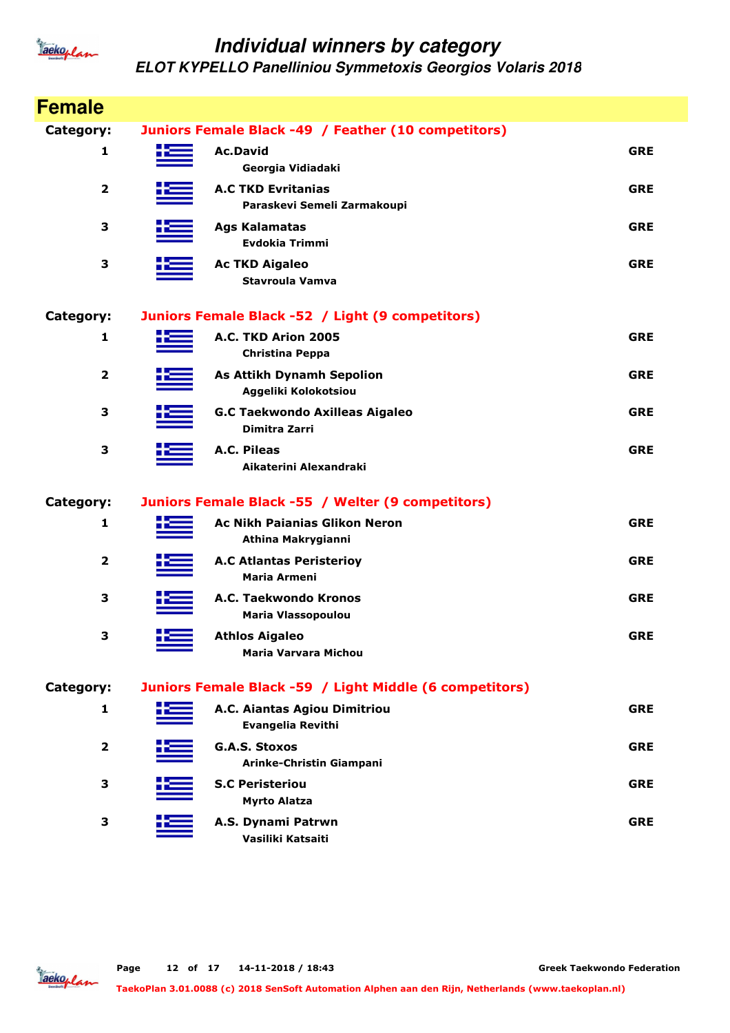

| <b>Female</b>           |     |                                                            |            |
|-------------------------|-----|------------------------------------------------------------|------------|
| Category:               |     | Juniors Female Black -49 / Feather (10 competitors)        |            |
| 1                       |     | <b>Ac.David</b><br>Georgia Vidiadaki                       | <b>GRE</b> |
| $\overline{\mathbf{2}}$ |     | <b>A.C TKD Evritanias</b><br>Paraskevi Semeli Zarmakoupi   | <b>GRE</b> |
| 3                       |     | <b>Ags Kalamatas</b><br><b>Evdokia Trimmi</b>              | <b>GRE</b> |
| 3                       |     | <b>Ac TKD Aigaleo</b><br><b>Stavroula Vamva</b>            | <b>GRE</b> |
| Category:               |     | Juniors Female Black -52 / Light (9 competitors)           |            |
| $\mathbf{1}$            |     | A.C. TKD Arion 2005<br>Christina Peppa                     | <b>GRE</b> |
| $\overline{\mathbf{2}}$ |     | <b>As Attikh Dynamh Sepolion</b><br>Aggeliki Kolokotsiou   | <b>GRE</b> |
| 3                       |     | <b>G.C Taekwondo Axilleas Aigaleo</b><br>Dimitra Zarri     | <b>GRE</b> |
| 3                       |     | A.C. Pileas<br>Aikaterini Alexandraki                      | <b>GRE</b> |
| Category:               |     | Juniors Female Black -55 / Welter (9 competitors)          |            |
| 1                       |     | <b>Ac Nikh Paianias Glikon Neron</b><br>Athina Makrygianni | <b>GRE</b> |
| $\overline{\mathbf{2}}$ |     | <b>A.C Atlantas Peristerioy</b><br><b>Maria Armeni</b>     | <b>GRE</b> |
| 3                       |     | A.C. Taekwondo Kronos<br>Maria Vlassopoulou                | <b>GRE</b> |
| 3                       | ╉══ | <b>Athlos Aigaleo</b><br><b>Maria Varvara Michou</b>       | <b>GRE</b> |
| Category:               |     | Juniors Female Black -59 / Light Middle (6 competitors)    |            |
| 1                       |     | A.C. Aiantas Agiou Dimitriou<br>Evangelia Revithi          | <b>GRE</b> |
| $\mathbf{2}$            |     | <b>G.A.S. Stoxos</b><br>Arinke-Christin Giampani           | <b>GRE</b> |
| 3                       |     | <b>S.C Peristeriou</b><br><b>Myrto Alatza</b>              | <b>GRE</b> |
| 3                       |     | A.S. Dynami Patrwn<br>Vasiliki Katsaiti                    | <b>GRE</b> |

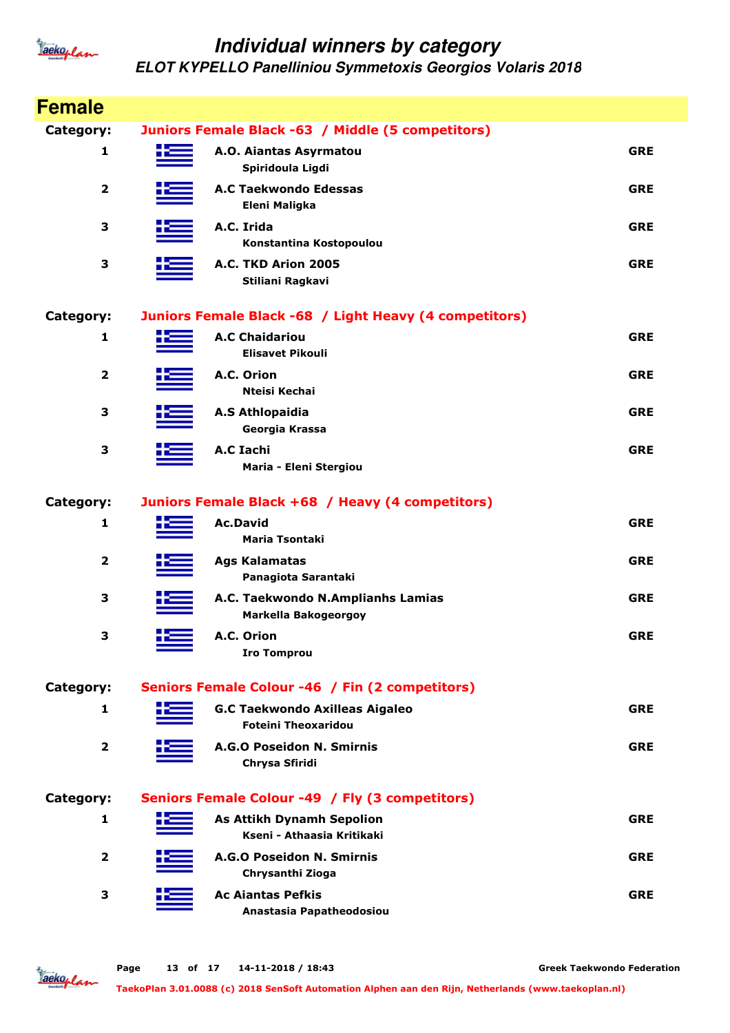

| <b>Female</b>           |                                                                     |            |
|-------------------------|---------------------------------------------------------------------|------------|
| Category:               | Juniors Female Black -63 / Middle (5 competitors)                   |            |
| 1                       | A.O. Aiantas Asyrmatou<br>Spiridoula Ligdi                          | <b>GRE</b> |
| $\mathbf{2}$            | <b>A.C Taekwondo Edessas</b><br>Eleni Maligka                       | <b>GRE</b> |
| 3                       | A.C. Irida<br>Konstantina Kostopoulou                               | <b>GRE</b> |
| 3                       | A.C. TKD Arion 2005<br>Stiliani Ragkavi                             | <b>GRE</b> |
| <b>Category:</b>        | Juniors Female Black -68 / Light Heavy (4 competitors)              |            |
| 1                       | <b>A.C Chaidariou</b><br><b>Elisavet Pikouli</b>                    | <b>GRE</b> |
| $\overline{\mathbf{2}}$ | A.C. Orion<br>Nteisi Kechai                                         | <b>GRE</b> |
| 3                       | <b>A.S Athlopaidia</b><br>Georgia Krassa                            | <b>GRE</b> |
| 3                       | A.C Iachi<br>Maria - Eleni Stergiou                                 | <b>GRE</b> |
| Category:               | Juniors Female Black +68 / Heavy (4 competitors)                    |            |
| 1                       | <b>Ac.David</b><br><b>Maria Tsontaki</b>                            | <b>GRE</b> |
| $\mathbf{2}$            | <b>Ags Kalamatas</b><br>Panagiota Sarantaki                         | <b>GRE</b> |
| 3                       | A.C. Taekwondo N.Amplianhs Lamias<br><b>Markella Bakogeorgoy</b>    | <b>GRE</b> |
| 3                       | A.C. Orion<br><b>Iro Tomprou</b>                                    | <b>GRE</b> |
| Category:               | Seniors Female Colour -46 / Fin (2 competitors)                     |            |
| 1                       | <b>G.C Taekwondo Axilleas Aigaleo</b><br><b>Foteini Theoxaridou</b> | <b>GRE</b> |
| $\overline{\mathbf{2}}$ | A.G.O Poseidon N. Smirnis<br>Chrysa Sfiridi                         | <b>GRE</b> |
| Category:               | Seniors Female Colour -49 / Fly (3 competitors)                     |            |
| 1                       | <b>As Attikh Dynamh Sepolion</b><br>Kseni - Athaasia Kritikaki      | <b>GRE</b> |
| $\overline{2}$          | A.G.O Poseidon N. Smirnis<br>Chrysanthi Zioga                       | <b>GRE</b> |
| 3                       | <b>Ac Ajantas Pefkis</b><br>Anastasia Papatheodosiou                | <b>GRE</b> |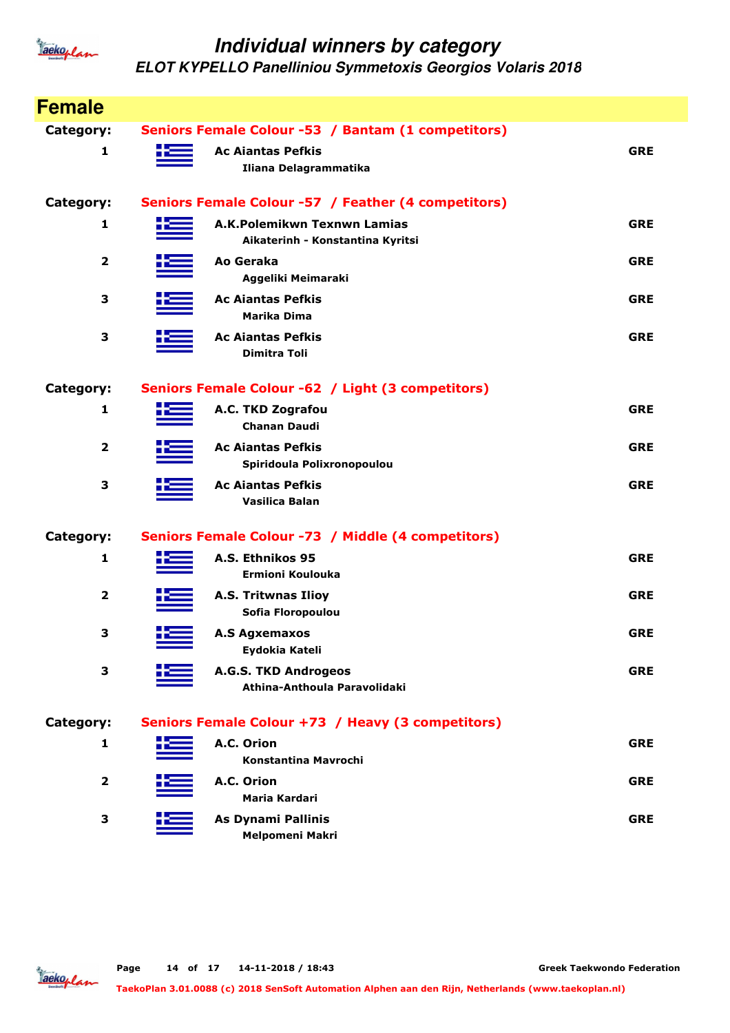

| <b>Female</b> |    |                                                      |            |
|---------------|----|------------------------------------------------------|------------|
| Category:     |    | Seniors Female Colour -53 / Bantam (1 competitors)   |            |
| 1             |    | <b>Ac Ajantas Pefkis</b>                             | <b>GRE</b> |
|               |    | Iliana Delagrammatika                                |            |
| Category:     |    | Seniors Female Colour -57 / Feather (4 competitors)  |            |
| 1             | ۲E | A.K.Polemikwn Texnwn Lamias                          | <b>GRE</b> |
|               |    | Aikaterinh - Konstantina Kyritsi                     |            |
| 2             |    | Ao Geraka                                            | <b>GRE</b> |
|               |    | Aggeliki Meimaraki                                   |            |
| 3             |    | <b>Ac Ajantas Pefkis</b><br><b>Marika Dima</b>       | <b>GRE</b> |
| 3             |    | <b>Ac Ajantas Pefkis</b>                             | <b>GRE</b> |
|               |    | <b>Dimitra Toli</b>                                  |            |
|               |    |                                                      |            |
| Category:     |    | Seniors Female Colour -62 / Light (3 competitors)    |            |
| 1             |    | A.C. TKD Zografou                                    | <b>GRE</b> |
|               |    | <b>Chanan Daudi</b>                                  |            |
| 2             |    | <b>Ac Ajantas Pefkis</b>                             | <b>GRE</b> |
|               |    | Spiridoula Polixronopoulou                           |            |
| 3             |    | <b>Ac Aiantas Pefkis</b>                             | <b>GRE</b> |
|               |    | <b>Vasilica Balan</b>                                |            |
| Category:     |    | Seniors Female Colour -73 / Middle (4 competitors)   |            |
| 1             |    | A.S. Ethnikos 95                                     | <b>GRE</b> |
|               |    | Ermioni Koulouka                                     |            |
| 2             |    | <b>A.S. Tritwnas Ilioy</b>                           | <b>GRE</b> |
|               |    | Sofia Floropoulou                                    |            |
| З             |    | <b>A.S Agxemaxos</b>                                 | <b>GRE</b> |
|               |    | Eydokia Kateli                                       |            |
| 3             |    | A.G.S. TKD Androgeos<br>Athina-Anthoula Paravolidaki | <b>GRE</b> |
|               |    |                                                      |            |
| Category:     |    | Seniors Female Colour +73 / Heavy (3 competitors)    |            |
| 1             |    | A.C. Orion                                           | <b>GRE</b> |
|               |    | Konstantina Mavrochi                                 |            |
| $\mathbf{2}$  |    | A.C. Orion                                           | <b>GRE</b> |
|               |    | <b>Maria Kardari</b>                                 |            |
| 3             |    | As Dynami Pallinis                                   | <b>GRE</b> |
|               |    | Melpomeni Makri                                      |            |

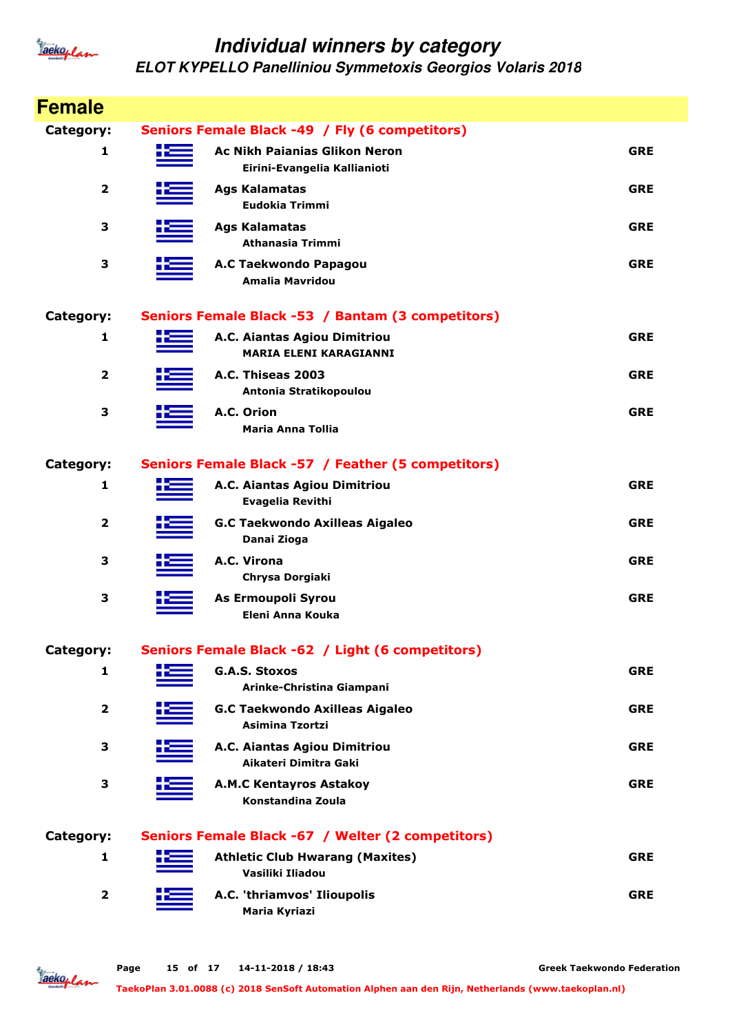

**ELOT KYPELLO Panelliniou Symmetoxis Georgios Volaris 2018**

| <b>Female</b>           |                                                                      |            |
|-------------------------|----------------------------------------------------------------------|------------|
| Category:               | Seniors Female Black -49 / Fly (6 competitors)                       |            |
| 1                       | <b>Ac Nikh Paianias Glikon Neron</b><br>Eirini-Evangelia Kallianioti | <b>GRE</b> |
| $\overline{\mathbf{2}}$ | <b>Ags Kalamatas</b><br>Eudokia Trimmi                               | <b>GRE</b> |
| 3                       | <b>Ags Kalamatas</b><br><b>Athanasia Trimmi</b>                      | <b>GRE</b> |
| 3                       | A.C Taekwondo Papagou<br>Amalia Mavridou                             | <b>GRE</b> |
| Category:               | Seniors Female Black -53 / Bantam (3 competitors)                    |            |
| 1                       | A.C. Aiantas Agiou Dimitriou<br><b>MARIA ELENI KARAGIANNI</b>        | <b>GRE</b> |
| $\mathbf{2}$            | A.C. Thiseas 2003<br>Antonia Stratikopoulou                          | <b>GRE</b> |
| 3                       | A.C. Orion<br>Maria Anna Tollia                                      | <b>GRE</b> |
| Category:               | Seniors Female Black -57 / Feather (5 competitors)                   |            |
| 1                       | A.C. Aiantas Agiou Dimitriou<br><b>Evagelia Revithi</b>              | <b>GRE</b> |
| $\mathbf{2}$            | <b>G.C Taekwondo Axilleas Aigaleo</b><br>Danai Zioga                 | <b>GRE</b> |
| 3                       | A.C. Virona<br>Chrysa Dorgiaki                                       | <b>GRE</b> |
| 3                       | As Ermoupoli Syrou<br>Eleni Anna Kouka                               | <b>GRE</b> |
| Category:               | Seniors Female Black -62 / Light (6 competitors)                     |            |
| 1                       | <b>G.A.S. Stoxos</b><br>Arinke-Christina Giampani                    | <b>GRE</b> |
| 2                       | <b>G.C Taekwondo Axilleas Aigaleo</b><br><b>Asimina Tzortzi</b>      | <b>GRE</b> |
| 3                       | A.C. Aiantas Agiou Dimitriou<br>Aikateri Dimitra Gaki                | <b>GRE</b> |
| З                       | <b>A.M.C Kentayros Astakoy</b><br>Konstandina Zoula                  | <b>GRE</b> |
| Category:               | Seniors Female Black -67 / Welter (2 competitors)                    |            |
| 1                       | <b>Athletic Club Hwarang (Maxites)</b><br>Vasiliki Iliadou           | <b>GRE</b> |
| $\mathbf{2}$            | A.C. 'thriamvos' Ilioupolis<br>Maria Kyriazi                         | <b>GRE</b> |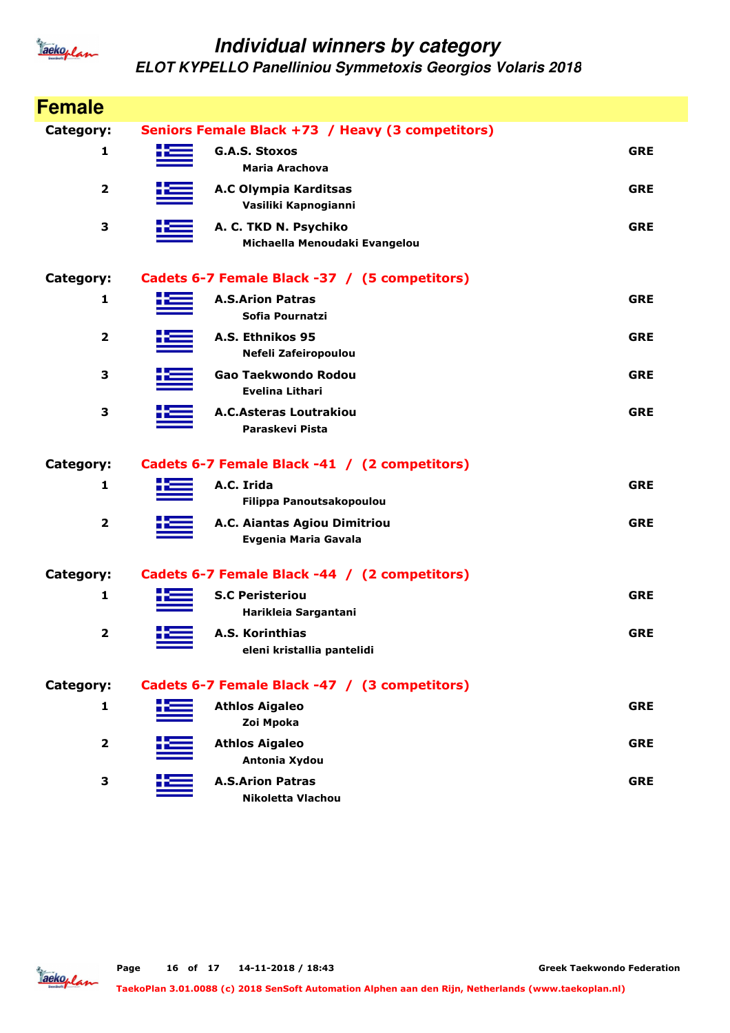

| <b>Female</b>           |   |                                                        |            |
|-------------------------|---|--------------------------------------------------------|------------|
| Category:               |   | Seniors Female Black +73 / Heavy (3 competitors)       |            |
| 1                       | æ | G.A.S. Stoxos<br>Maria Arachova                        | <b>GRE</b> |
| $\overline{2}$          |   | A.C Olympia Karditsas<br>Vasiliki Kapnogianni          | <b>GRE</b> |
| 3                       |   | A. C. TKD N. Psychiko<br>Michaella Menoudaki Evangelou | <b>GRE</b> |
| Category:               |   | Cadets 6-7 Female Black -37 / (5 competitors)          |            |
| 1                       |   | <b>A.S.Arion Patras</b><br>Sofia Pournatzi             | <b>GRE</b> |
| 2                       |   | A.S. Ethnikos 95<br>Nefeli Zafeiropoulou               | <b>GRE</b> |
| 3                       |   | Gao Taekwondo Rodou<br><b>Evelina Lithari</b>          | <b>GRE</b> |
| 3                       |   | <b>A.C.Asteras Loutrakiou</b><br>Paraskevi Pista       | <b>GRE</b> |
| Category:               |   | Cadets 6-7 Female Black -41 / (2 competitors)          |            |
| 1                       |   | A.C. Irida<br>Filippa Panoutsakopoulou                 | <b>GRE</b> |
| $\overline{\mathbf{2}}$ |   | A.C. Aiantas Agiou Dimitriou<br>Evgenia Maria Gavala   | <b>GRE</b> |
| Category:               |   | Cadets 6-7 Female Black -44 / (2 competitors)          |            |
| 1                       |   |                                                        |            |
|                         |   | <b>S.C Peristeriou</b><br>Harikleia Sargantani         | <b>GRE</b> |
| $\overline{2}$          |   | A.S. Korinthias<br>eleni kristallia pantelidi          | <b>GRE</b> |
| Category:               |   | Cadets 6-7 Female Black -47 / (3 competitors)          |            |
| 1                       |   | <b>Athlos Aigaleo</b><br>Zoi Mpoka                     | <b>GRE</b> |
| $\overline{\mathbf{2}}$ |   | <b>Athlos Aigaleo</b><br>Antonia Xydou                 | <b>GRE</b> |